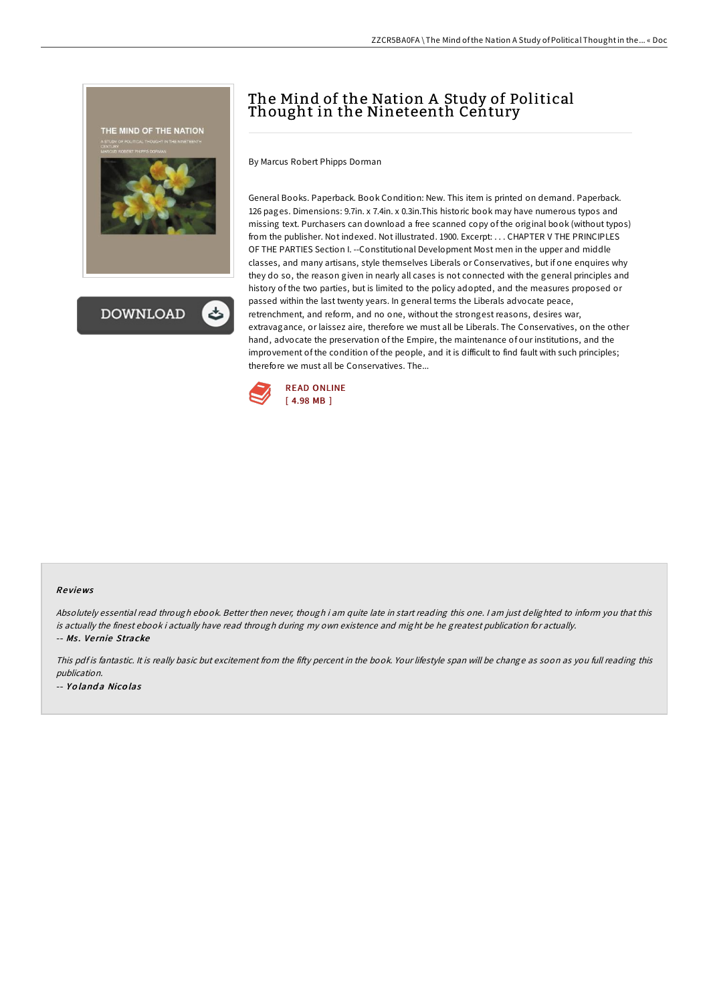



## The Mind of the Nation A Study of Political Thought in the Nineteenth Century

By Marcus Robert Phipps Dorman

General Books. Paperback. Book Condition: New. This item is printed on demand. Paperback. 126 pages. Dimensions: 9.7in. x 7.4in. x 0.3in.This historic book may have numerous typos and missing text. Purchasers can download a free scanned copy of the original book (without typos) from the publisher. Not indexed. Not illustrated. 1900. Excerpt: . . . CHAPTER V THE PRINCIPLES OF THE PARTIES Section I. --Constitutional Development Most men in the upper and middle classes, and many artisans, style themselves Liberals or Conservatives, but if one enquires why they do so, the reason given in nearly all cases is not connected with the general principles and history of the two parties, but is limited to the policy adopted, and the measures proposed or passed within the last twenty years. In general terms the Liberals advocate peace, retrenchment, and reform, and no one, without the strongest reasons, desires war, extravagance, or laissez aire, therefore we must all be Liberals. The Conservatives, on the other hand, advocate the preservation of the Empire, the maintenance of our institutions, and the improvement of the condition of the people, and it is difficult to find fault with such principles; therefore we must all be Conservatives. The...



## Re views

Absolutely essential read through ebook. Better then never, though i am quite late in start reading this one. <sup>I</sup> am just delighted to inform you that this is actually the finest ebook i actually have read through during my own existence and might be he greatest publication for actually. -- Ms. Vernie Stracke

This pdf is fantastic. It is really basic but excitement from the fifty percent in the book. Your lifestyle span will be change as soon as you full reading this publication. -- Yolanda Nicolas